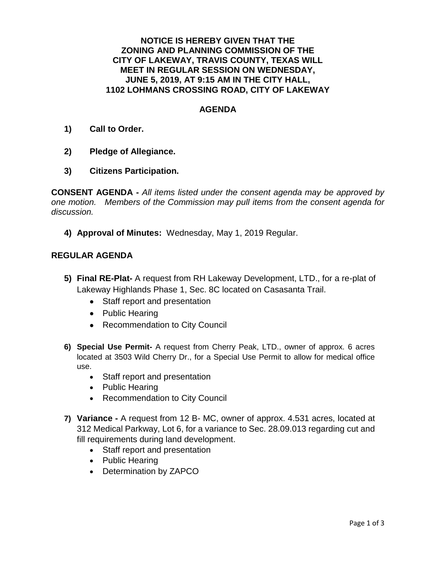## **NOTICE IS HEREBY GIVEN THAT THE ZONING AND PLANNING COMMISSION OF THE CITY OF LAKEWAY, TRAVIS COUNTY, TEXAS WILL MEET IN REGULAR SESSION ON WEDNESDAY, JUNE 5, 2019, AT 9:15 AM IN THE CITY HALL, 1102 LOHMANS CROSSING ROAD, CITY OF LAKEWAY**

## **AGENDA**

- **1) Call to Order.**
- **2) Pledge of Allegiance.**
- **3) Citizens Participation.**

**CONSENT AGENDA -** *All items listed under the consent agenda may be approved by one motion. Members of the Commission may pull items from the consent agenda for discussion.*

**4) Approval of Minutes:** Wednesday, May 1, 2019 Regular.

## **REGULAR AGENDA**

- **5) Final RE-Plat-** A request from RH Lakeway Development, LTD., for a re-plat of Lakeway Highlands Phase 1, Sec. 8C located on Casasanta Trail.
	- Staff report and presentation
	- Public Hearing
	- Recommendation to City Council
- **6) Special Use Permit-** A request from Cherry Peak, LTD., owner of approx. 6 acres located at 3503 Wild Cherry Dr., for a Special Use Permit to allow for medical office use.
	- Staff report and presentation
	- Public Hearing
	- Recommendation to City Council
- **7) Variance -** A request from 12 B- MC, owner of approx. 4.531 acres, located at 312 Medical Parkway, Lot 6, for a variance to Sec. 28.09.013 regarding cut and fill requirements during land development.
	- Staff report and presentation
	- Public Hearing
	- Determination by ZAPCO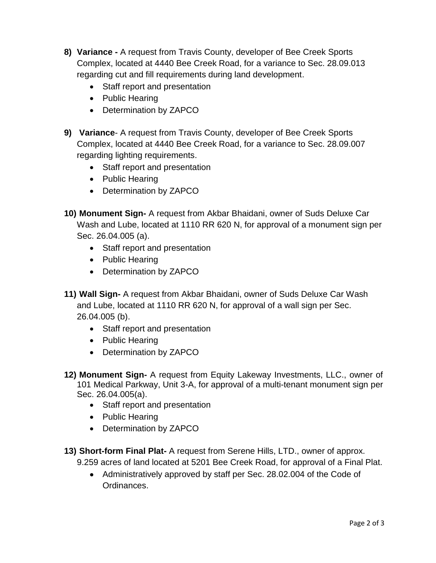- **8) Variance -** A request from Travis County, developer of Bee Creek Sports Complex, located at 4440 Bee Creek Road, for a variance to Sec. 28.09.013 regarding cut and fill requirements during land development.
	- Staff report and presentation
	- Public Hearing
	- Determination by ZAPCO
- **9) Variance** A request from Travis County, developer of Bee Creek Sports Complex, located at 4440 Bee Creek Road, for a variance to Sec. 28.09.007 regarding lighting requirements.
	- Staff report and presentation
	- Public Hearing
	- Determination by ZAPCO
- **10) Monument Sign-** A request from Akbar Bhaidani, owner of Suds Deluxe Car Wash and Lube, located at 1110 RR 620 N, for approval of a monument sign per Sec. 26.04.005 (a).
	- Staff report and presentation
	- Public Hearing
	- Determination by ZAPCO
- **11) Wall Sign-** A request from Akbar Bhaidani, owner of Suds Deluxe Car Wash and Lube, located at 1110 RR 620 N, for approval of a wall sign per Sec. 26.04.005 (b).
	- Staff report and presentation
	- Public Hearing
	- Determination by ZAPCO
- **12) Monument Sign-** A request from Equity Lakeway Investments, LLC., owner of 101 Medical Parkway, Unit 3-A, for approval of a multi-tenant monument sign per Sec. 26.04.005(a).
	- Staff report and presentation
	- Public Hearing
	- Determination by ZAPCO
- **13) Short-form Final Plat-** A request from Serene Hills, LTD., owner of approx. 9.259 acres of land located at 5201 Bee Creek Road, for approval of a Final Plat.
	- Administratively approved by staff per Sec. 28.02.004 of the Code of Ordinances.